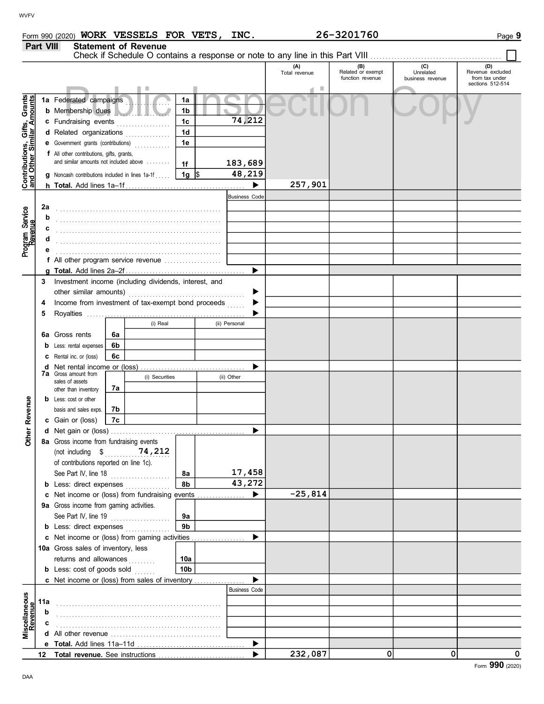| <b>WVFV</b><br>26-3201760<br>Form 990 (2020) WORK VESSELS FOR VETS, INC.<br><b>Part VIII</b><br><b>Statement of Revenue</b><br>Check if Schedule O contains a response or note to any line in this Part VIII<br>(C)<br>(D)<br>$(B)$<br>Related or exempt<br>(A)<br>Revenue excluded<br>Total revenue<br>Unrelated<br>function revenue<br>from tax under<br>business revenue<br>sections 512-514<br>ш<br>Contributions, Gifts, Grants<br>and Other Similar Amounts<br>1a Federated campaigns<br>1a<br><b>b</b> Membership dues<br>1 <sub>b</sub><br>74,212<br>1c<br>c Fundraising events<br>1 <sub>d</sub><br>d Related organizations<br>.<br>1e<br>e Government grants (contributions)<br>.<br>f All other contributions, gifts, grants,<br>and similar amounts not included above<br>183,689<br>1f<br>48,219<br>$1g$ \$<br>g Noncash contributions included in lines 1a-1f.<br>257,901<br>$\blacktriangleright$<br><b>Business Code</b><br><b>2a</b><br>Program Service<br>Revenue<br><b>b</b><br>C<br>d<br>е<br>f All other program service revenue<br>$\blacktriangleright$<br>3 Investment income (including dividends, interest, and<br>▶<br>4 Income from investment of tax-exempt bond proceeds<br>$\blacktriangleright$<br>(i) Real<br>(ii) Personal<br>6a Gross rents<br>6a<br>6b<br><b>b</b> Less: rental expenses<br>6с<br>C Rental inc. or (loss)<br>d Net rental income or (loss)<br>▶<br>7a Gross amount from<br>(i) Securities<br>(ii) Other<br>sales of assets<br>7a<br>other than inventory<br>Revenue<br><b>b</b> Less: cost or other<br>7b<br>basis and sales exps.<br>7c<br>c Gain or (loss)<br>Other<br>▶<br>8a Gross income from fundraising events<br>74,212<br>(not including \$<br>of contributions reported on line 1c).<br>17,458<br>See Part IV, line 18<br><b>8a</b><br>.<br>8 <sub>b</sub><br>43,272<br><b>b</b> Less: direct expenses <i>minimum</i><br>$-25,814$<br>c Net income or (loss) from fundraising events<br>$\blacktriangleright$<br>9a Gross income from gaming activities.<br>See Part IV, line 19<br>9a<br>.<br>9 <sub>b</sub><br><b>b</b> Less: direct expenses <i>minimum</i><br>c Net income or (loss) from gaming activities<br>$\blacktriangleright$<br>10a Gross sales of inventory, less<br>returns and allowances<br>10a<br>.<br>10 <sub>b</sub><br><b>b</b> Less: cost of goods sold<br>c Net income or (loss) from sales of inventory<br>▶<br><b>Business Code</b><br>Miscellaneous<br>Revenue<br>11a<br>b<br>$\mathbf c$<br>$\blacktriangleright$<br>232,087<br>0l<br>0l<br>▶<br>12 Total revenue. See instructions |     |  |  |  |
|-----------------------------------------------------------------------------------------------------------------------------------------------------------------------------------------------------------------------------------------------------------------------------------------------------------------------------------------------------------------------------------------------------------------------------------------------------------------------------------------------------------------------------------------------------------------------------------------------------------------------------------------------------------------------------------------------------------------------------------------------------------------------------------------------------------------------------------------------------------------------------------------------------------------------------------------------------------------------------------------------------------------------------------------------------------------------------------------------------------------------------------------------------------------------------------------------------------------------------------------------------------------------------------------------------------------------------------------------------------------------------------------------------------------------------------------------------------------------------------------------------------------------------------------------------------------------------------------------------------------------------------------------------------------------------------------------------------------------------------------------------------------------------------------------------------------------------------------------------------------------------------------------------------------------------------------------------------------------------------------------------------------------------------------------------------------------------------------------------------------------------------------------------------------------------------------------------------------------------------------------------------------------------------------------------------------------------------------------------------------------------------------------------------------------------------------------------------------------------------------------------------------------------------------------------------------------------|-----|--|--|--|
|                                                                                                                                                                                                                                                                                                                                                                                                                                                                                                                                                                                                                                                                                                                                                                                                                                                                                                                                                                                                                                                                                                                                                                                                                                                                                                                                                                                                                                                                                                                                                                                                                                                                                                                                                                                                                                                                                                                                                                                                                                                                                                                                                                                                                                                                                                                                                                                                                                                                                                                                                                             |     |  |  |  |
| Page 9<br>Form 990 (2020)                                                                                                                                                                                                                                                                                                                                                                                                                                                                                                                                                                                                                                                                                                                                                                                                                                                                                                                                                                                                                                                                                                                                                                                                                                                                                                                                                                                                                                                                                                                                                                                                                                                                                                                                                                                                                                                                                                                                                                                                                                                                                                                                                                                                                                                                                                                                                                                                                                                                                                                                                   |     |  |  |  |
|                                                                                                                                                                                                                                                                                                                                                                                                                                                                                                                                                                                                                                                                                                                                                                                                                                                                                                                                                                                                                                                                                                                                                                                                                                                                                                                                                                                                                                                                                                                                                                                                                                                                                                                                                                                                                                                                                                                                                                                                                                                                                                                                                                                                                                                                                                                                                                                                                                                                                                                                                                             |     |  |  |  |
|                                                                                                                                                                                                                                                                                                                                                                                                                                                                                                                                                                                                                                                                                                                                                                                                                                                                                                                                                                                                                                                                                                                                                                                                                                                                                                                                                                                                                                                                                                                                                                                                                                                                                                                                                                                                                                                                                                                                                                                                                                                                                                                                                                                                                                                                                                                                                                                                                                                                                                                                                                             |     |  |  |  |
|                                                                                                                                                                                                                                                                                                                                                                                                                                                                                                                                                                                                                                                                                                                                                                                                                                                                                                                                                                                                                                                                                                                                                                                                                                                                                                                                                                                                                                                                                                                                                                                                                                                                                                                                                                                                                                                                                                                                                                                                                                                                                                                                                                                                                                                                                                                                                                                                                                                                                                                                                                             |     |  |  |  |
|                                                                                                                                                                                                                                                                                                                                                                                                                                                                                                                                                                                                                                                                                                                                                                                                                                                                                                                                                                                                                                                                                                                                                                                                                                                                                                                                                                                                                                                                                                                                                                                                                                                                                                                                                                                                                                                                                                                                                                                                                                                                                                                                                                                                                                                                                                                                                                                                                                                                                                                                                                             |     |  |  |  |
|                                                                                                                                                                                                                                                                                                                                                                                                                                                                                                                                                                                                                                                                                                                                                                                                                                                                                                                                                                                                                                                                                                                                                                                                                                                                                                                                                                                                                                                                                                                                                                                                                                                                                                                                                                                                                                                                                                                                                                                                                                                                                                                                                                                                                                                                                                                                                                                                                                                                                                                                                                             |     |  |  |  |
|                                                                                                                                                                                                                                                                                                                                                                                                                                                                                                                                                                                                                                                                                                                                                                                                                                                                                                                                                                                                                                                                                                                                                                                                                                                                                                                                                                                                                                                                                                                                                                                                                                                                                                                                                                                                                                                                                                                                                                                                                                                                                                                                                                                                                                                                                                                                                                                                                                                                                                                                                                             |     |  |  |  |
|                                                                                                                                                                                                                                                                                                                                                                                                                                                                                                                                                                                                                                                                                                                                                                                                                                                                                                                                                                                                                                                                                                                                                                                                                                                                                                                                                                                                                                                                                                                                                                                                                                                                                                                                                                                                                                                                                                                                                                                                                                                                                                                                                                                                                                                                                                                                                                                                                                                                                                                                                                             |     |  |  |  |
|                                                                                                                                                                                                                                                                                                                                                                                                                                                                                                                                                                                                                                                                                                                                                                                                                                                                                                                                                                                                                                                                                                                                                                                                                                                                                                                                                                                                                                                                                                                                                                                                                                                                                                                                                                                                                                                                                                                                                                                                                                                                                                                                                                                                                                                                                                                                                                                                                                                                                                                                                                             |     |  |  |  |
|                                                                                                                                                                                                                                                                                                                                                                                                                                                                                                                                                                                                                                                                                                                                                                                                                                                                                                                                                                                                                                                                                                                                                                                                                                                                                                                                                                                                                                                                                                                                                                                                                                                                                                                                                                                                                                                                                                                                                                                                                                                                                                                                                                                                                                                                                                                                                                                                                                                                                                                                                                             |     |  |  |  |
|                                                                                                                                                                                                                                                                                                                                                                                                                                                                                                                                                                                                                                                                                                                                                                                                                                                                                                                                                                                                                                                                                                                                                                                                                                                                                                                                                                                                                                                                                                                                                                                                                                                                                                                                                                                                                                                                                                                                                                                                                                                                                                                                                                                                                                                                                                                                                                                                                                                                                                                                                                             |     |  |  |  |
|                                                                                                                                                                                                                                                                                                                                                                                                                                                                                                                                                                                                                                                                                                                                                                                                                                                                                                                                                                                                                                                                                                                                                                                                                                                                                                                                                                                                                                                                                                                                                                                                                                                                                                                                                                                                                                                                                                                                                                                                                                                                                                                                                                                                                                                                                                                                                                                                                                                                                                                                                                             |     |  |  |  |
|                                                                                                                                                                                                                                                                                                                                                                                                                                                                                                                                                                                                                                                                                                                                                                                                                                                                                                                                                                                                                                                                                                                                                                                                                                                                                                                                                                                                                                                                                                                                                                                                                                                                                                                                                                                                                                                                                                                                                                                                                                                                                                                                                                                                                                                                                                                                                                                                                                                                                                                                                                             |     |  |  |  |
|                                                                                                                                                                                                                                                                                                                                                                                                                                                                                                                                                                                                                                                                                                                                                                                                                                                                                                                                                                                                                                                                                                                                                                                                                                                                                                                                                                                                                                                                                                                                                                                                                                                                                                                                                                                                                                                                                                                                                                                                                                                                                                                                                                                                                                                                                                                                                                                                                                                                                                                                                                             |     |  |  |  |
|                                                                                                                                                                                                                                                                                                                                                                                                                                                                                                                                                                                                                                                                                                                                                                                                                                                                                                                                                                                                                                                                                                                                                                                                                                                                                                                                                                                                                                                                                                                                                                                                                                                                                                                                                                                                                                                                                                                                                                                                                                                                                                                                                                                                                                                                                                                                                                                                                                                                                                                                                                             |     |  |  |  |
|                                                                                                                                                                                                                                                                                                                                                                                                                                                                                                                                                                                                                                                                                                                                                                                                                                                                                                                                                                                                                                                                                                                                                                                                                                                                                                                                                                                                                                                                                                                                                                                                                                                                                                                                                                                                                                                                                                                                                                                                                                                                                                                                                                                                                                                                                                                                                                                                                                                                                                                                                                             |     |  |  |  |
|                                                                                                                                                                                                                                                                                                                                                                                                                                                                                                                                                                                                                                                                                                                                                                                                                                                                                                                                                                                                                                                                                                                                                                                                                                                                                                                                                                                                                                                                                                                                                                                                                                                                                                                                                                                                                                                                                                                                                                                                                                                                                                                                                                                                                                                                                                                                                                                                                                                                                                                                                                             |     |  |  |  |
|                                                                                                                                                                                                                                                                                                                                                                                                                                                                                                                                                                                                                                                                                                                                                                                                                                                                                                                                                                                                                                                                                                                                                                                                                                                                                                                                                                                                                                                                                                                                                                                                                                                                                                                                                                                                                                                                                                                                                                                                                                                                                                                                                                                                                                                                                                                                                                                                                                                                                                                                                                             |     |  |  |  |
|                                                                                                                                                                                                                                                                                                                                                                                                                                                                                                                                                                                                                                                                                                                                                                                                                                                                                                                                                                                                                                                                                                                                                                                                                                                                                                                                                                                                                                                                                                                                                                                                                                                                                                                                                                                                                                                                                                                                                                                                                                                                                                                                                                                                                                                                                                                                                                                                                                                                                                                                                                             |     |  |  |  |
|                                                                                                                                                                                                                                                                                                                                                                                                                                                                                                                                                                                                                                                                                                                                                                                                                                                                                                                                                                                                                                                                                                                                                                                                                                                                                                                                                                                                                                                                                                                                                                                                                                                                                                                                                                                                                                                                                                                                                                                                                                                                                                                                                                                                                                                                                                                                                                                                                                                                                                                                                                             |     |  |  |  |
|                                                                                                                                                                                                                                                                                                                                                                                                                                                                                                                                                                                                                                                                                                                                                                                                                                                                                                                                                                                                                                                                                                                                                                                                                                                                                                                                                                                                                                                                                                                                                                                                                                                                                                                                                                                                                                                                                                                                                                                                                                                                                                                                                                                                                                                                                                                                                                                                                                                                                                                                                                             |     |  |  |  |
|                                                                                                                                                                                                                                                                                                                                                                                                                                                                                                                                                                                                                                                                                                                                                                                                                                                                                                                                                                                                                                                                                                                                                                                                                                                                                                                                                                                                                                                                                                                                                                                                                                                                                                                                                                                                                                                                                                                                                                                                                                                                                                                                                                                                                                                                                                                                                                                                                                                                                                                                                                             |     |  |  |  |
|                                                                                                                                                                                                                                                                                                                                                                                                                                                                                                                                                                                                                                                                                                                                                                                                                                                                                                                                                                                                                                                                                                                                                                                                                                                                                                                                                                                                                                                                                                                                                                                                                                                                                                                                                                                                                                                                                                                                                                                                                                                                                                                                                                                                                                                                                                                                                                                                                                                                                                                                                                             |     |  |  |  |
|                                                                                                                                                                                                                                                                                                                                                                                                                                                                                                                                                                                                                                                                                                                                                                                                                                                                                                                                                                                                                                                                                                                                                                                                                                                                                                                                                                                                                                                                                                                                                                                                                                                                                                                                                                                                                                                                                                                                                                                                                                                                                                                                                                                                                                                                                                                                                                                                                                                                                                                                                                             |     |  |  |  |
|                                                                                                                                                                                                                                                                                                                                                                                                                                                                                                                                                                                                                                                                                                                                                                                                                                                                                                                                                                                                                                                                                                                                                                                                                                                                                                                                                                                                                                                                                                                                                                                                                                                                                                                                                                                                                                                                                                                                                                                                                                                                                                                                                                                                                                                                                                                                                                                                                                                                                                                                                                             |     |  |  |  |
|                                                                                                                                                                                                                                                                                                                                                                                                                                                                                                                                                                                                                                                                                                                                                                                                                                                                                                                                                                                                                                                                                                                                                                                                                                                                                                                                                                                                                                                                                                                                                                                                                                                                                                                                                                                                                                                                                                                                                                                                                                                                                                                                                                                                                                                                                                                                                                                                                                                                                                                                                                             |     |  |  |  |
|                                                                                                                                                                                                                                                                                                                                                                                                                                                                                                                                                                                                                                                                                                                                                                                                                                                                                                                                                                                                                                                                                                                                                                                                                                                                                                                                                                                                                                                                                                                                                                                                                                                                                                                                                                                                                                                                                                                                                                                                                                                                                                                                                                                                                                                                                                                                                                                                                                                                                                                                                                             |     |  |  |  |
|                                                                                                                                                                                                                                                                                                                                                                                                                                                                                                                                                                                                                                                                                                                                                                                                                                                                                                                                                                                                                                                                                                                                                                                                                                                                                                                                                                                                                                                                                                                                                                                                                                                                                                                                                                                                                                                                                                                                                                                                                                                                                                                                                                                                                                                                                                                                                                                                                                                                                                                                                                             |     |  |  |  |
|                                                                                                                                                                                                                                                                                                                                                                                                                                                                                                                                                                                                                                                                                                                                                                                                                                                                                                                                                                                                                                                                                                                                                                                                                                                                                                                                                                                                                                                                                                                                                                                                                                                                                                                                                                                                                                                                                                                                                                                                                                                                                                                                                                                                                                                                                                                                                                                                                                                                                                                                                                             |     |  |  |  |
|                                                                                                                                                                                                                                                                                                                                                                                                                                                                                                                                                                                                                                                                                                                                                                                                                                                                                                                                                                                                                                                                                                                                                                                                                                                                                                                                                                                                                                                                                                                                                                                                                                                                                                                                                                                                                                                                                                                                                                                                                                                                                                                                                                                                                                                                                                                                                                                                                                                                                                                                                                             |     |  |  |  |
|                                                                                                                                                                                                                                                                                                                                                                                                                                                                                                                                                                                                                                                                                                                                                                                                                                                                                                                                                                                                                                                                                                                                                                                                                                                                                                                                                                                                                                                                                                                                                                                                                                                                                                                                                                                                                                                                                                                                                                                                                                                                                                                                                                                                                                                                                                                                                                                                                                                                                                                                                                             |     |  |  |  |
|                                                                                                                                                                                                                                                                                                                                                                                                                                                                                                                                                                                                                                                                                                                                                                                                                                                                                                                                                                                                                                                                                                                                                                                                                                                                                                                                                                                                                                                                                                                                                                                                                                                                                                                                                                                                                                                                                                                                                                                                                                                                                                                                                                                                                                                                                                                                                                                                                                                                                                                                                                             |     |  |  |  |
|                                                                                                                                                                                                                                                                                                                                                                                                                                                                                                                                                                                                                                                                                                                                                                                                                                                                                                                                                                                                                                                                                                                                                                                                                                                                                                                                                                                                                                                                                                                                                                                                                                                                                                                                                                                                                                                                                                                                                                                                                                                                                                                                                                                                                                                                                                                                                                                                                                                                                                                                                                             | DAA |  |  |  |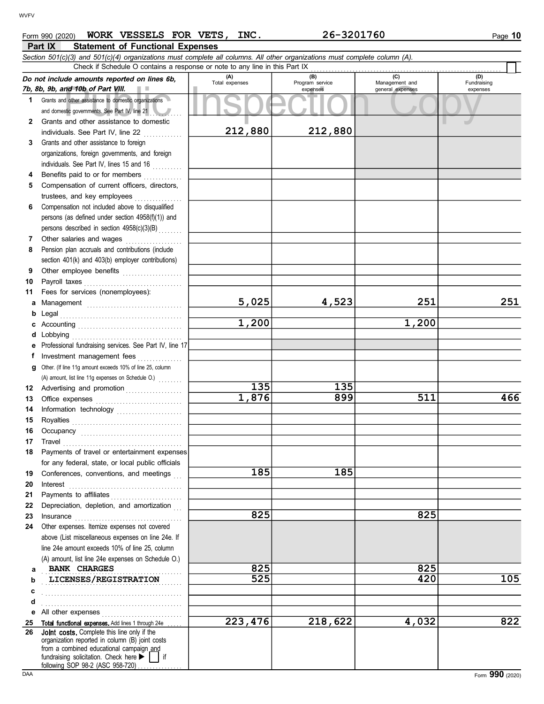## **Part IX** Statement of Functional Expenses Form 990 (2020) WORK VESSELS FOR VETS, INC. 26-3201760 Page 10

|    | WORK VESSELS FOR VETS,<br>Form 990 (2020)<br><b>Statement of Functional Expenses</b><br>Part IX                                                                                                                  | INC.                  | 26-3201760             |                       | Page 10            |
|----|------------------------------------------------------------------------------------------------------------------------------------------------------------------------------------------------------------------|-----------------------|------------------------|-----------------------|--------------------|
|    | Section 501(c)(3) and 501(c)(4) organizations must complete all columns. All other organizations must complete column (A).<br>Check if Schedule O contains a response or note to any line in this Part IX        |                       |                        |                       |                    |
|    | Do not include amounts reported on lines 6b,                                                                                                                                                                     | (A)<br>Total expenses | (B)<br>Program service | (C)<br>Management and | (D)<br>Fundraising |
|    | 7b, 8b, 9b, and 10b of Part VIII.<br>1 Grants and other assistance to domestic organizations                                                                                                                     |                       | expenses               | general expenses      | expenses           |
|    | and domestic governments. See Part IV, line 21<br>2 Grants and other assistance to domestic                                                                                                                      |                       |                        |                       |                    |
|    | individuals. See Part IV, line 22                                                                                                                                                                                | 212,880               | 212,880                |                       |                    |
|    | 3 Grants and other assistance to foreign<br>organizations, foreign governments, and foreign                                                                                                                      |                       |                        |                       |                    |
|    | individuals. See Part IV, lines 15 and 16                                                                                                                                                                        |                       |                        |                       |                    |
| 4  | Benefits paid to or for members<br>5 Compensation of current officers, directors,                                                                                                                                |                       |                        |                       |                    |
|    | trustees, and key employees<br>6 Compensation not included above to disqualified                                                                                                                                 |                       |                        |                       |                    |
|    | persons (as defined under section 4958(f)(1)) and                                                                                                                                                                |                       |                        |                       |                    |
|    | persons described in section 4958(c)(3)(B)<br>7 Other salaries and wages<br>.                                                                                                                                    |                       |                        |                       |                    |
|    | 8 Pension plan accruals and contributions (include<br>section 401(k) and 403(b) employer contributions)                                                                                                          |                       |                        |                       |                    |
|    | 9 Other employee benefits                                                                                                                                                                                        |                       |                        |                       |                    |
|    | 10 Payroll taxes<br>11 Fees for services (nonemployees):                                                                                                                                                         |                       |                        |                       |                    |
|    |                                                                                                                                                                                                                  | 5,025                 | 4,523                  | 251                   | 251                |
|    | <b>b</b> Legal $\ldots$ $\ldots$ $\ldots$ $\ldots$ $\ldots$ $\ldots$ $\ldots$ $\ldots$ $\ldots$ $\ldots$ $\ldots$ $\ldots$                                                                                       | 1,200                 |                        | 1,200                 |                    |
|    |                                                                                                                                                                                                                  |                       |                        |                       |                    |
|    | e Professional fundraising services. See Part IV, line 17<br>f Investment management fees                                                                                                                        |                       |                        |                       |                    |
|    | g Other. (If line 11g amount exceeds 10% of line 25, column                                                                                                                                                      |                       |                        |                       |                    |
|    | (A) amount, list line 11g expenses on Schedule O.)<br>12 Advertising and promotion                                                                                                                               | 135                   | 135                    |                       |                    |
|    | 14 Information technology                                                                                                                                                                                        | 1,876                 | 899                    | 511                   | 466                |
|    |                                                                                                                                                                                                                  |                       |                        |                       |                    |
|    | 17 Travel                                                                                                                                                                                                        |                       |                        |                       |                    |
|    | 18 Payments of travel or entertainment expenses                                                                                                                                                                  |                       |                        |                       |                    |
|    | for any federal, state, or local public officials<br>19 Conferences, conventions, and meetings                                                                                                                   | 185                   | 185                    |                       |                    |
| 20 | Interest                                                                                                                                                                                                         |                       |                        |                       |                    |
|    | 22 Depreciation, depletion, and amortization                                                                                                                                                                     |                       |                        |                       |                    |
|    | 24 Other expenses. Itemize expenses not covered                                                                                                                                                                  | 825                   |                        | 825                   |                    |
|    | above (List miscellaneous expenses on line 24e. If                                                                                                                                                               |                       |                        |                       |                    |
|    | line 24e amount exceeds 10% of line 25, column<br>(A) amount, list line 24e expenses on Schedule O.)                                                                                                             |                       |                        |                       |                    |
| a  | <b>BANK CHARGES</b>                                                                                                                                                                                              | 825                   |                        | 825                   |                    |
| c  | b LICENSES/REGISTRATION                                                                                                                                                                                          | 525                   |                        | 420                   | 105                |
| d  |                                                                                                                                                                                                                  |                       |                        |                       |                    |
|    | 25 Total functional expenses. Add lines 1 through 24e                                                                                                                                                            | 223,476               | 218,622                | 4.032                 | 822                |
|    | 26 Joint costs. Complete this line only if the<br>organization reported in column (B) joint costs<br>from a combined educational campaign and<br>fundraising solicitation. Check here $\blacktriangleright$   if |                       |                        |                       |                    |
|    | following SOP 98-2 (ASC 958-720).                                                                                                                                                                                |                       |                        |                       | Form 990 (2020)    |